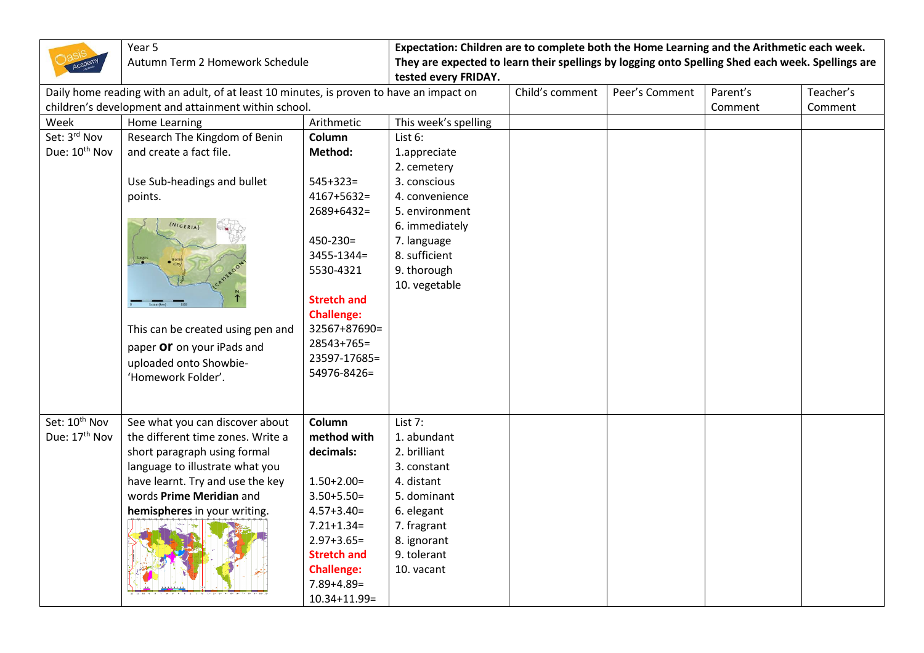|                                                                                          | Year 5<br>Autumn Term 2 Homework Schedule            |                    | Expectation: Children are to complete both the Home Learning and the Arithmetic each week.                                |                 |                |          |           |  |
|------------------------------------------------------------------------------------------|------------------------------------------------------|--------------------|---------------------------------------------------------------------------------------------------------------------------|-----------------|----------------|----------|-----------|--|
|                                                                                          |                                                      |                    | They are expected to learn their spellings by logging onto Spelling Shed each week. Spellings are<br>tested every FRIDAY. |                 |                |          |           |  |
| Daily home reading with an adult, of at least 10 minutes, is proven to have an impact on |                                                      |                    |                                                                                                                           | Child's comment | Peer's Comment | Parent's | Teacher's |  |
|                                                                                          | children's development and attainment within school. |                    |                                                                                                                           |                 |                | Comment  | Comment   |  |
| Week                                                                                     | Home Learning                                        | Arithmetic         | This week's spelling                                                                                                      |                 |                |          |           |  |
| Set: 3rd Nov                                                                             | Research The Kingdom of Benin                        | Column             | List 6:                                                                                                                   |                 |                |          |           |  |
| Due: 10 <sup>th</sup> Nov                                                                | and create a fact file.                              | Method:            | 1.appreciate                                                                                                              |                 |                |          |           |  |
|                                                                                          |                                                      |                    | 2. cemetery                                                                                                               |                 |                |          |           |  |
|                                                                                          | Use Sub-headings and bullet                          | $545+323=$         | 3. conscious                                                                                                              |                 |                |          |           |  |
|                                                                                          | points.                                              | $4167 + 5632 =$    | 4. convenience                                                                                                            |                 |                |          |           |  |
|                                                                                          |                                                      | $2689 + 6432 =$    | 5. environment                                                                                                            |                 |                |          |           |  |
|                                                                                          | (NIGERIA)                                            |                    | 6. immediately                                                                                                            |                 |                |          |           |  |
|                                                                                          |                                                      | $450 - 230 =$      | 7. language                                                                                                               |                 |                |          |           |  |
|                                                                                          |                                                      | $3455 - 1344 =$    | 8. sufficient                                                                                                             |                 |                |          |           |  |
|                                                                                          |                                                      | 5530-4321          | 9. thorough                                                                                                               |                 |                |          |           |  |
|                                                                                          |                                                      |                    | 10. vegetable                                                                                                             |                 |                |          |           |  |
|                                                                                          |                                                      | <b>Stretch and</b> |                                                                                                                           |                 |                |          |           |  |
|                                                                                          |                                                      | <b>Challenge:</b>  |                                                                                                                           |                 |                |          |           |  |
|                                                                                          | This can be created using pen and                    | 32567+87690=       |                                                                                                                           |                 |                |          |           |  |
|                                                                                          | paper Or on your iPads and                           | 28543+765=         |                                                                                                                           |                 |                |          |           |  |
|                                                                                          | uploaded onto Showbie-                               | 23597-17685=       |                                                                                                                           |                 |                |          |           |  |
|                                                                                          | 'Homework Folder'.                                   | 54976-8426=        |                                                                                                                           |                 |                |          |           |  |
|                                                                                          |                                                      |                    |                                                                                                                           |                 |                |          |           |  |
|                                                                                          |                                                      |                    |                                                                                                                           |                 |                |          |           |  |
| Set: 10 <sup>th</sup> Nov                                                                | See what you can discover about                      | Column             | List $7:$                                                                                                                 |                 |                |          |           |  |
| Due: 17 <sup>th</sup> Nov                                                                | the different time zones. Write a                    | method with        | 1. abundant                                                                                                               |                 |                |          |           |  |
|                                                                                          | short paragraph using formal                         | decimals:          | 2. brilliant                                                                                                              |                 |                |          |           |  |
|                                                                                          | language to illustrate what you                      |                    | 3. constant                                                                                                               |                 |                |          |           |  |
|                                                                                          | have learnt. Try and use the key                     | $1.50 + 2.00 =$    | 4. distant                                                                                                                |                 |                |          |           |  |
|                                                                                          | words Prime Meridian and                             | $3.50 + 5.50 =$    | 5. dominant                                                                                                               |                 |                |          |           |  |
|                                                                                          | hemispheres in your writing.                         | $4.57 + 3.40 =$    | 6. elegant                                                                                                                |                 |                |          |           |  |
|                                                                                          |                                                      | $7.21 + 1.34 =$    | 7. fragrant                                                                                                               |                 |                |          |           |  |
|                                                                                          |                                                      | $2.97 + 3.65 =$    | 8. ignorant                                                                                                               |                 |                |          |           |  |
|                                                                                          |                                                      | <b>Stretch and</b> | 9. tolerant                                                                                                               |                 |                |          |           |  |
|                                                                                          |                                                      | <b>Challenge:</b>  | 10. vacant                                                                                                                |                 |                |          |           |  |
|                                                                                          |                                                      | $7.89 + 4.89 =$    |                                                                                                                           |                 |                |          |           |  |
|                                                                                          |                                                      | $10.34 + 11.99 =$  |                                                                                                                           |                 |                |          |           |  |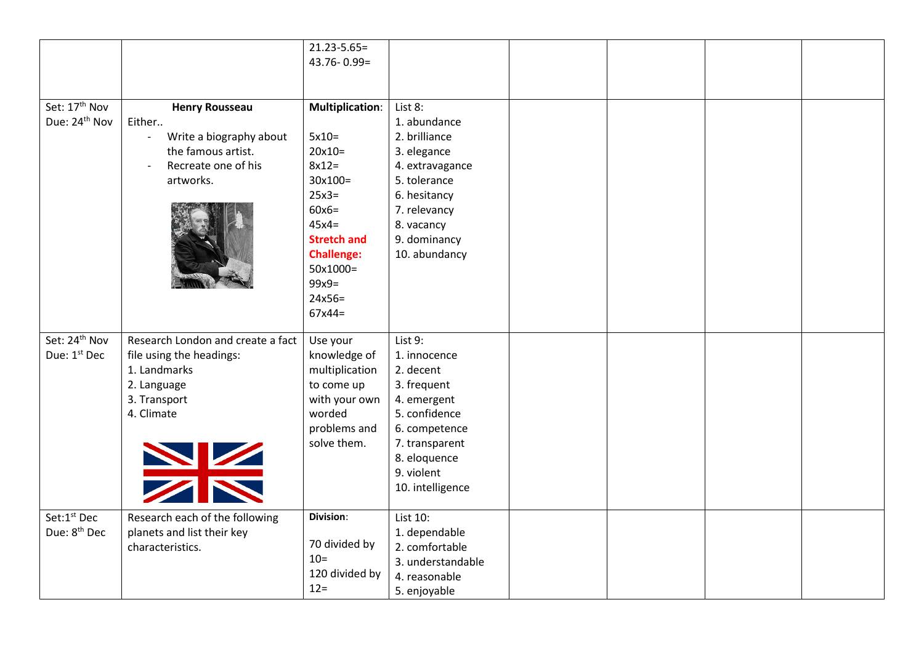|                           |                                   | $21.23 - 5.65 =$       |                   |  |  |
|---------------------------|-----------------------------------|------------------------|-------------------|--|--|
|                           |                                   | $43.76 - 0.99 =$       |                   |  |  |
|                           |                                   |                        |                   |  |  |
|                           |                                   |                        |                   |  |  |
| Set: 17 <sup>th</sup> Nov | <b>Henry Rousseau</b>             | <b>Multiplication:</b> | List 8:           |  |  |
| Due: 24 <sup>th</sup> Nov | Either                            |                        | 1. abundance      |  |  |
|                           | Write a biography about           | $5x10=$                | 2. brilliance     |  |  |
|                           | the famous artist.                | $20x10=$               | 3. elegance       |  |  |
|                           | Recreate one of his               | $8x12=$                | 4. extravagance   |  |  |
|                           | artworks.                         | $30x100=$              | 5. tolerance      |  |  |
|                           |                                   | $25x3=$                | 6. hesitancy      |  |  |
|                           |                                   | $60x6=$                | 7. relevancy      |  |  |
|                           |                                   | $45x4=$                | 8. vacancy        |  |  |
|                           |                                   | <b>Stretch and</b>     | 9. dominancy      |  |  |
|                           |                                   | <b>Challenge:</b>      | 10. abundancy     |  |  |
|                           |                                   | 50x1000=               |                   |  |  |
|                           |                                   | $99x9=$                |                   |  |  |
|                           |                                   | $24x56=$               |                   |  |  |
|                           |                                   | $67x44=$               |                   |  |  |
|                           |                                   |                        |                   |  |  |
| Set: 24 <sup>th</sup> Nov | Research London and create a fact | Use your               | List 9:           |  |  |
| Due: 1st Dec              | file using the headings:          | knowledge of           | 1. innocence      |  |  |
|                           | 1. Landmarks                      | multiplication         | 2. decent         |  |  |
|                           | 2. Language                       | to come up             | 3. frequent       |  |  |
|                           | 3. Transport                      | with your own          | 4. emergent       |  |  |
|                           | 4. Climate                        | worded                 | 5. confidence     |  |  |
|                           |                                   | problems and           | 6. competence     |  |  |
|                           |                                   | solve them.            | 7. transparent    |  |  |
|                           | XX                                |                        | 8. eloquence      |  |  |
|                           |                                   |                        | 9. violent        |  |  |
|                           |                                   |                        | 10. intelligence  |  |  |
|                           |                                   |                        |                   |  |  |
| Set:1st Dec               | Research each of the following    | Division:              | List 10:          |  |  |
| Due: 8 <sup>th</sup> Dec  | planets and list their key        |                        | 1. dependable     |  |  |
|                           | characteristics.                  | 70 divided by          | 2. comfortable    |  |  |
|                           |                                   | $10=$                  | 3. understandable |  |  |
|                           |                                   | 120 divided by         | 4. reasonable     |  |  |
|                           |                                   | $12 =$                 | 5. enjoyable      |  |  |